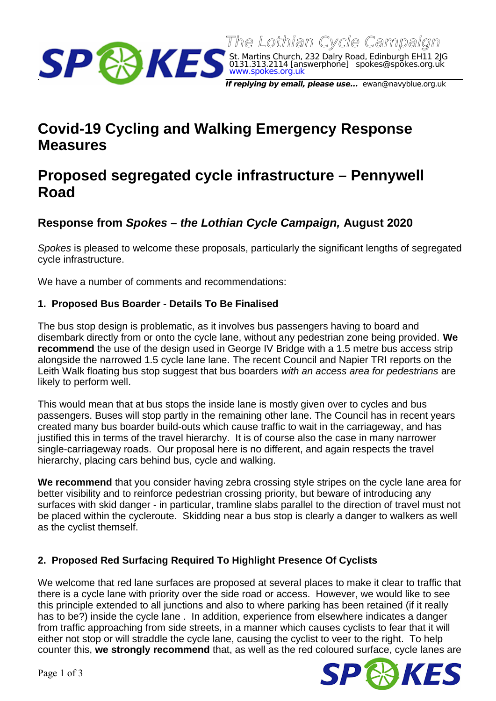0131.313.2114 [answerphone] spokes@spokes.org.uk www.spokes.org.uk **If replying by email, please use...** ewan@navyblue.org.uk

St. Martins Church, 232 Dalry Road, Edinburgh EH11 2JG

The Lothian Cycle Campaign

# **Covid-19 Cycling and Walking Emergency Response Measures**

# **Proposed segregated cycle infrastructure – Pennywell Road**

# **Response from** *Spokes – the Lothian Cycle Campaign,* **August 2020**

*Spokes* is pleased to welcome these proposals, particularly the significant lengths of segregated cycle infrastructure.

We have a number of comments and recommendations:

## **1. Proposed Bus Boarder - Details To Be Finalised**

The bus stop design is problematic, as it involves bus passengers having to board and disembark directly from or onto the cycle lane, without any pedestrian zone being provided. **We recommend** the use of the design used in George IV Bridge with a 1.5 metre bus access strip alongside the narrowed 1.5 cycle lane lane. The recent Council and Napier TRI reports on the Leith Walk floating bus stop suggest that bus boarders *with an access area for pedestrians* are likely to perform well.

This would mean that at bus stops the inside lane is mostly given over to cycles and bus passengers. Buses will stop partly in the remaining other lane. The Council has in recent years created many bus boarder build-outs which cause traffic to wait in the carriageway, and has justified this in terms of the travel hierarchy. It is of course also the case in many narrower single-carriageway roads. Our proposal here is no different, and again respects the travel hierarchy, placing cars behind bus, cycle and walking.

**We recommend** that you consider having zebra crossing style stripes on the cycle lane area for better visibility and to reinforce pedestrian crossing priority, but beware of introducing any surfaces with skid danger - in particular, tramline slabs parallel to the direction of travel must not be placed within the cycleroute. Skidding near a bus stop is clearly a danger to walkers as well as the cyclist themself.

#### **2. Proposed Red Surfacing Required To Highlight Presence Of Cyclists**

We welcome that red lane surfaces are proposed at several places to make it clear to traffic that there is a cycle lane with priority over the side road or access. However, we would like to see this principle extended to all junctions and also to where parking has been retained (if it really has to be?) inside the cycle lane . In addition, experience from elsewhere indicates a danger from traffic approaching from side streets, in a manner which causes cyclists to fear that it will either not stop or will straddle the cycle lane, causing the cyclist to veer to the right. To help counter this, **we strongly recommend** that, as well as the red coloured surface, cycle lanes are

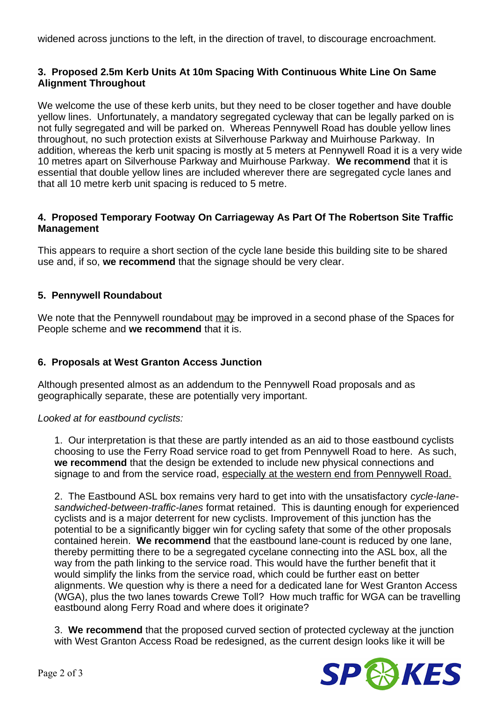widened across junctions to the left, in the direction of travel, to discourage encroachment.

#### **3. Proposed 2.5m Kerb Units At 10m Spacing With Continuous White Line On Same Alignment Throughout**

We welcome the use of these kerb units, but they need to be closer together and have double yellow lines. Unfortunately, a mandatory segregated cycleway that can be legally parked on is not fully segregated and will be parked on. Whereas Pennywell Road has double yellow lines throughout, no such protection exists at Silverhouse Parkway and Muirhouse Parkway. In addition, whereas the kerb unit spacing is mostly at 5 meters at Pennywell Road it is a very wide 10 metres apart on Silverhouse Parkway and Muirhouse Parkway. **We recommend** that it is essential that double yellow lines are included wherever there are segregated cycle lanes and that all 10 metre kerb unit spacing is reduced to 5 metre.

#### **4. Proposed Temporary Footway On Carriageway As Part Of The Robertson Site Traffic Management**

This appears to require a short section of the cycle lane beside this building site to be shared use and, if so, **we recommend** that the signage should be very clear.

#### **5. Pennywell Roundabout**

We note that the Pennywell roundabout may be improved in a second phase of the Spaces for People scheme and **we recommend** that it is.

## **6. Proposals at West Granton Access Junction**

Although presented almost as an addendum to the Pennywell Road proposals and as geographically separate, these are potentially very important.

#### *Looked at for eastbound cyclists:*

1. Our interpretation is that these are partly intended as an aid to those eastbound cyclists choosing to use the Ferry Road service road to get from Pennywell Road to here. As such, **we recommend** that the design be extended to include new physical connections and signage to and from the service road, especially at the western end from Pennywell Road.

2. The Eastbound ASL box remains very hard to get into with the unsatisfactory *cycle-lanesandwiched-between-traffic-lanes* format retained. This is daunting enough for experienced cyclists and is a major deterrent for new cyclists. Improvement of this junction has the potential to be a significantly bigger win for cycling safety that some of the other proposals contained herein. **We recommend** that the eastbound lane-count is reduced by one lane, thereby permitting there to be a segregated cycelane connecting into the ASL box, all the way from the path linking to the service road. This would have the further benefit that it would simplify the links from the service road, which could be further east on better alignments. We question why is there a need for a dedicated lane for West Granton Access (WGA), plus the two lanes towards Crewe Toll? How much traffic for WGA can be travelling eastbound along Ferry Road and where does it originate?

3. **We recommend** that the proposed curved section of protected cycleway at the junction with West Granton Access Road be redesigned, as the current design looks like it will be